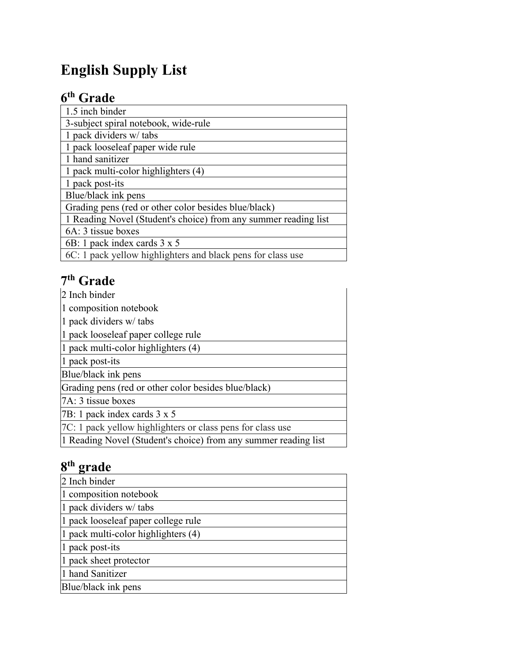# **English Supply List**

## **6th Grade**

| 1.5 inch binder                                                 |
|-----------------------------------------------------------------|
| 3-subject spiral notebook, wide-rule                            |
| 1 pack dividers w/ tabs                                         |
| 1 pack looseleaf paper wide rule                                |
| 1 hand sanitizer                                                |
| 1 pack multi-color highlighters (4)                             |
| 1 pack post-its                                                 |
| Blue/black ink pens                                             |
| Grading pens (red or other color besides blue/black)            |
| 1 Reading Novel (Student's choice) from any summer reading list |
| 6A: 3 tissue boxes                                              |
| 6B: 1 pack index cards 3 x 5                                    |
| 6C: 1 pack yellow highlighters and black pens for class use     |

### **7th Grade**

| 2 Inch binder                                                   |
|-----------------------------------------------------------------|
| 1 composition notebook                                          |
| 1 pack dividers w/ tabs                                         |
| 1 pack looseleaf paper college rule                             |
| 1 pack multi-color highlighters (4)                             |
| 1 pack post-its                                                 |
| Blue/black ink pens                                             |
| Grading pens (red or other color besides blue/black)            |
| 7A: 3 tissue boxes                                              |
| 7B: 1 pack index cards 3 x 5                                    |
| 7C: 1 pack yellow highlighters or class pens for class use      |
| 1 Reading Novel (Student's choice) from any summer reading list |

### **8th grade**

| 2 Inch binder                       |
|-------------------------------------|
| 1 composition notebook              |
| 1 pack dividers w/ tabs             |
| 1 pack looseleaf paper college rule |
| 1 pack multi-color highlighters (4) |
| 1 pack post-its                     |
| 1 pack sheet protector              |
| 1 hand Sanitizer                    |
| Blue/black ink pens                 |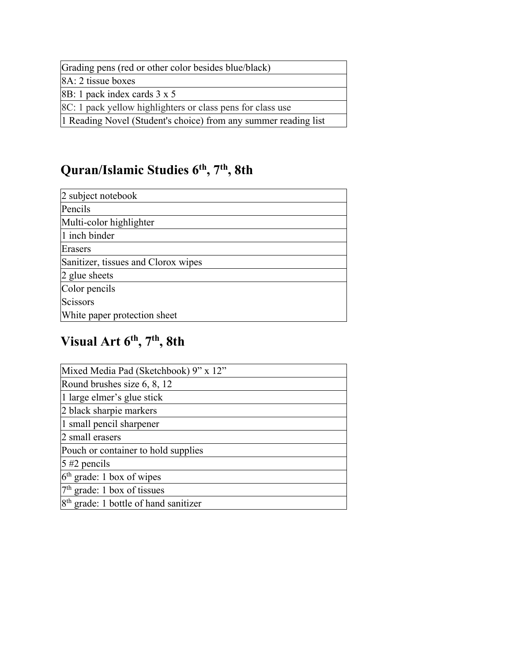Grading pens (red or other color besides blue/black)

8A: 2 tissue boxes

8B: 1 pack index cards 3 x 5

8C: 1 pack yellow highlighters or class pens for class use

1 Reading Novel (Student's choice) from any summer reading list

#### **Quran/Islamic Studies 6th, 7th , 8th**

| 2 subject notebook                  |
|-------------------------------------|
| Pencils                             |
| Multi-color highlighter             |
| 1 inch binder                       |
| Erasers                             |
| Sanitizer, tissues and Clorox wipes |
| 2 glue sheets                       |
| Color pencils                       |
| Scissors                            |
| White paper protection sheet        |

#### **Visual Art 6th, 7th , 8th**

| Mixed Media Pad (Sketchbook) 9" x 12"             |
|---------------------------------------------------|
| Round brushes size 6, 8, 12                       |
| 1 large elmer's glue stick                        |
| 2 black sharpie markers                           |
| 1 small pencil sharpener                          |
| 2 small erasers                                   |
| Pouch or container to hold supplies               |
| $5 \#2$ pencils                                   |
| $6th$ grade: 1 box of wipes                       |
| $7th$ grade: 1 box of tissues                     |
| 8 <sup>th</sup> grade: 1 bottle of hand sanitizer |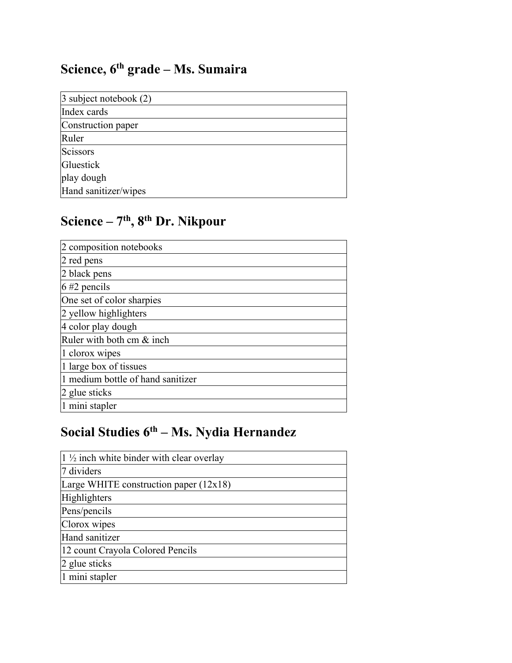## **Science, 6th grade – Ms. Sumaira**

| 3 subject notebook (2) |
|------------------------|
|                        |
| Index cards            |
| Construction paper     |
|                        |
| Ruler                  |
| Scissors               |
| Gluestick              |
| play dough             |
| Hand sanitizer/wipes   |

# **Science – 7th, 8th Dr. Nikpour**

| 2 composition notebooks           |
|-----------------------------------|
| 2 red pens                        |
| 2 black pens                      |
| $6 \#2$ pencils                   |
| One set of color sharpies         |
| 2 yellow highlighters             |
| 4 color play dough                |
| Ruler with both cm & inch         |
| 1 clorox wipes                    |
| 1 large box of tissues            |
| 1 medium bottle of hand sanitizer |
| 2 glue sticks                     |
| 1 mini stapler                    |

# **Social Studies 6th – Ms. Nydia Hernandez**

| $1\frac{1}{2}$ inch white binder with clear overlay |
|-----------------------------------------------------|
| 7 dividers                                          |
| Large WHITE construction paper $(12x18)$            |
| Highlighters                                        |
| Pens/pencils                                        |
| Clorox wipes                                        |
| Hand sanitizer                                      |
| 12 count Crayola Colored Pencils                    |
| 2 glue sticks                                       |
| 1 mini stapler                                      |